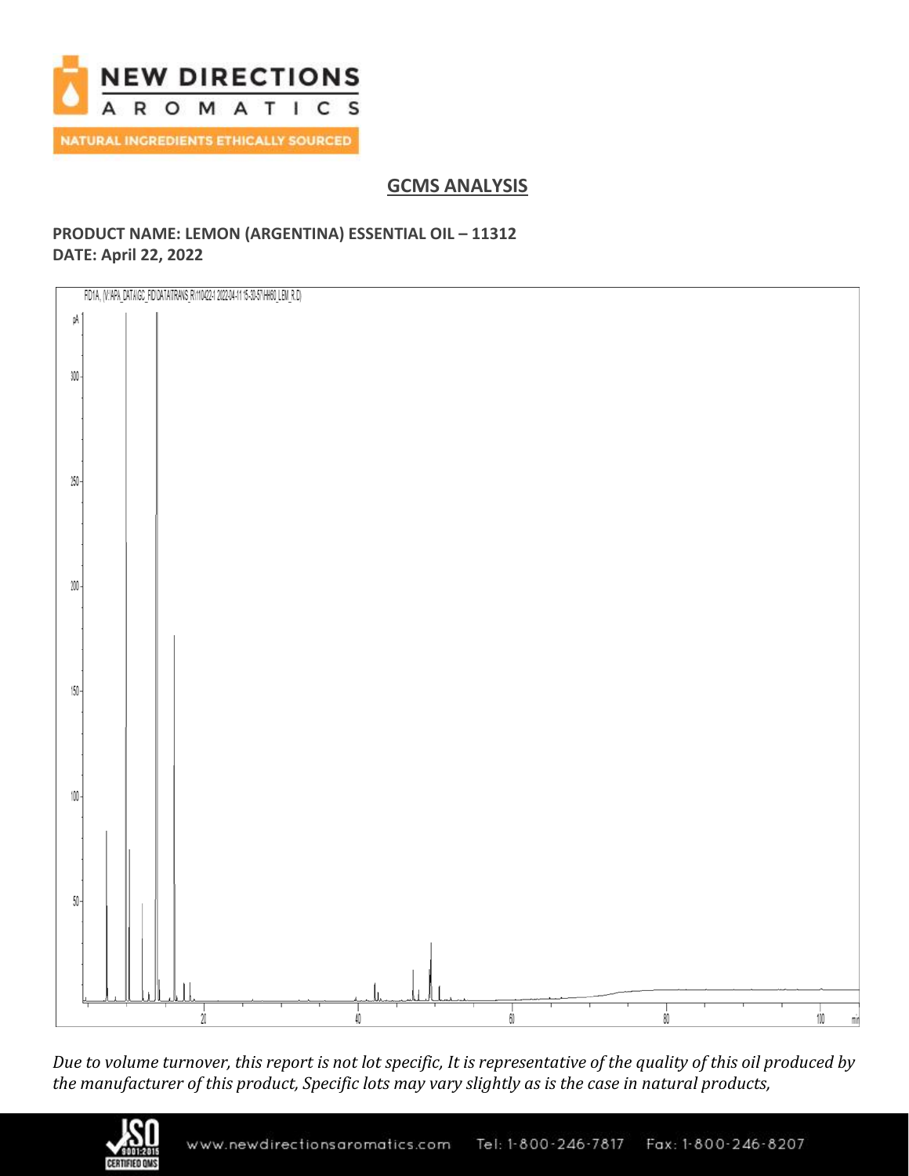

## **GCMS ANALYSIS**

### **PRODUCT NAME: LEMON (ARGENTINA) ESSENTIAL OIL – 11312 DATE: April 22, 2022**



*Due to volume turnover, this report is not lot specific, It is representative of the quality of this oil produced by the manufacturer of this product, Specific lots may vary slightly as is the case in natural products,*

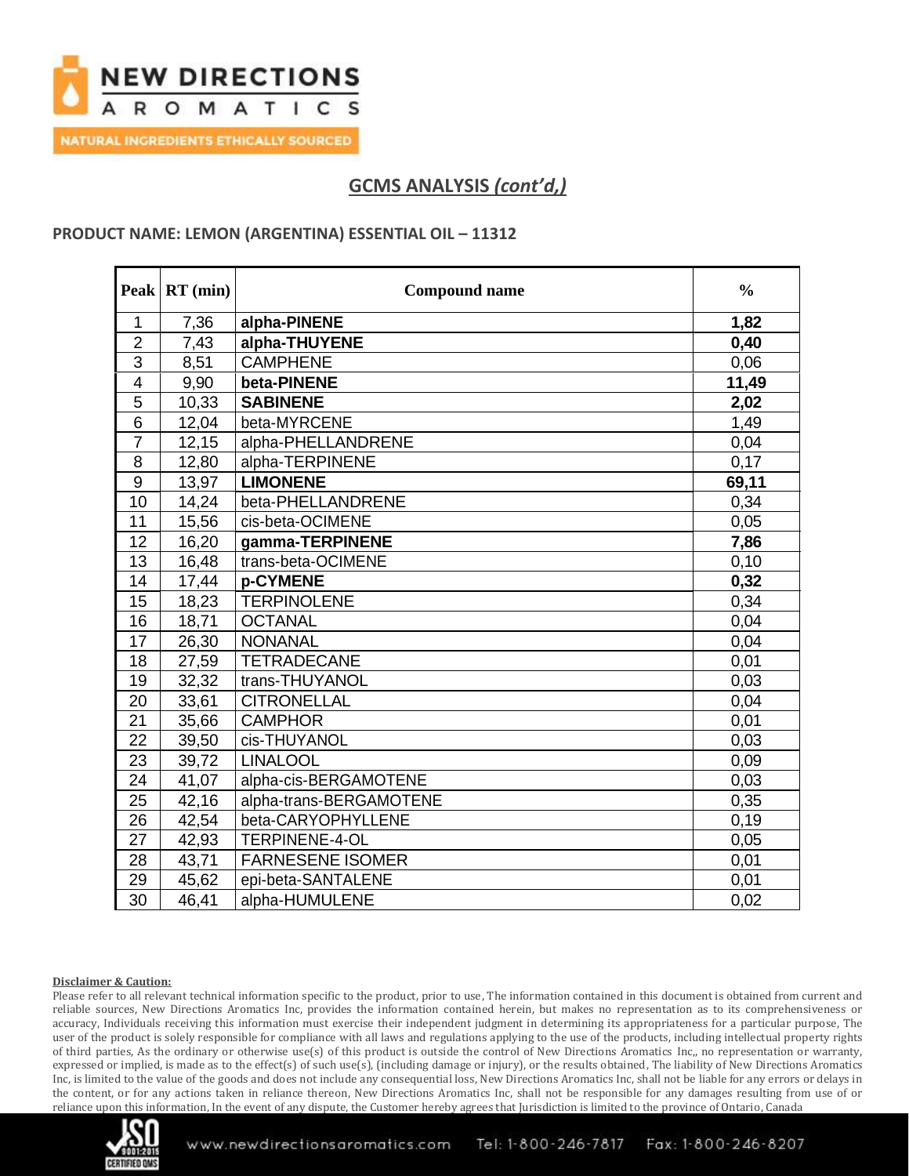

**NATURAL INGREDIENTS ETHICALLY SOURCED** 

# **GCMS ANALYSIS** *(cont'd,)*

### **PRODUCT NAME: LEMON (ARGENTINA) ESSENTIAL OIL - 11312**

|                         | Peak RT (min) | <b>Compound name</b>    | $\frac{0}{0}$ |
|-------------------------|---------------|-------------------------|---------------|
| 1                       | 7,36          | alpha-PINENE            | 1,82          |
| $\overline{2}$          | 7,43          | alpha-THUYENE           | 0,40          |
| $\overline{3}$          | 8,51          | <b>CAMPHENE</b>         | 0,06          |
| $\overline{\mathbf{4}}$ | 9,90          | beta-PINENE             | 11,49         |
| 5                       | 10,33         | <b>SABINENE</b>         | 2,02          |
| 6                       | 12,04         | beta-MYRCENE            | 1,49          |
| $\overline{7}$          | 12,15         | alpha-PHELLANDRENE      | 0,04          |
| 8                       | 12,80         | alpha-TERPINENE         | 0,17          |
| $\overline{9}$          | 13,97         | <b>LIMONENE</b>         | 69,11         |
| 10                      | 14,24         | beta-PHELLANDRENE       | 0,34          |
| 11                      | 15,56         | cis-beta-OCIMENE        | 0,05          |
| 12                      | 16,20         | gamma-TERPINENE         | 7,86          |
| 13                      | 16,48         | trans-beta-OCIMENE      | 0,10          |
| 14                      | 17,44         | p-CYMENE                | 0,32          |
| 15                      | 18,23         | <b>TERPINOLENE</b>      | 0,34          |
| 16                      | 18,71         | <b>OCTANAL</b>          | 0,04          |
| 17                      | 26,30         | <b>NONANAL</b>          | 0,04          |
| 18                      | 27,59         | <b>TETRADECANE</b>      | 0,01          |
| 19                      | 32,32         | trans-THUYANOL          | 0,03          |
| 20                      | 33,61         | <b>CITRONELLAL</b>      | 0,04          |
| 21                      | 35,66         | <b>CAMPHOR</b>          | 0,01          |
| 22                      | 39,50         | cis-THUYANOL            | 0,03          |
| 23                      | 39,72         | <b>LINALOOL</b>         | 0,09          |
| 24                      | 41,07         | alpha-cis-BERGAMOTENE   | 0,03          |
| 25                      | 42,16         | alpha-trans-BERGAMOTENE | 0,35          |
| 26                      | 42,54         | beta-CARYOPHYLLENE      | 0,19          |
| 27                      | 42,93         | TERPINENE-4-OL          | 0,05          |
| 28                      | 43,71         | <b>FARNESENE ISOMER</b> | 0,01          |
| 29                      | 45,62         | epi-beta-SANTALENE      | 0,01          |
| 30                      | 46,41         | alpha-HUMULENE          | 0,02          |

#### **Disclaimer & Caution:**

Please refer to all relevant technical information specific to the product, prior to use, The information contained in this document is obtained from current and reliable sources, New Directions Aromatics Inc, provides the information contained herein, but makes no representation as to its comprehensiveness or accuracy, Individuals receiving this information must exercise their independent judgment in determining its appropriateness for a particular purpose, The user of the product is solely responsible for compliance with all laws and regulations applying to the use of the products, including intellectual property rights of third parties, As the ordinary or otherwise use(s) of this product is outside the control of New Directions Aromatics Inc,, no representation or warranty, expressed or implied, is made as to the effect(s) of such use(s), (including damage or injury), or the results obtained, The liability of New Directions Aromatics Inc, is limited to the value of the goods and does not include any consequential loss, New Directions Aromatics Inc, shall not be liable for any errors or delays in the content, or for any actions taken in reliance thereon, New Directions Aromatics Inc, shall not be responsible for any damages resulting from use of or reliance upon this information, In the event of any dispute, the Customer hereby agrees that Jurisdiction is limited to the province of Ontario, Canada